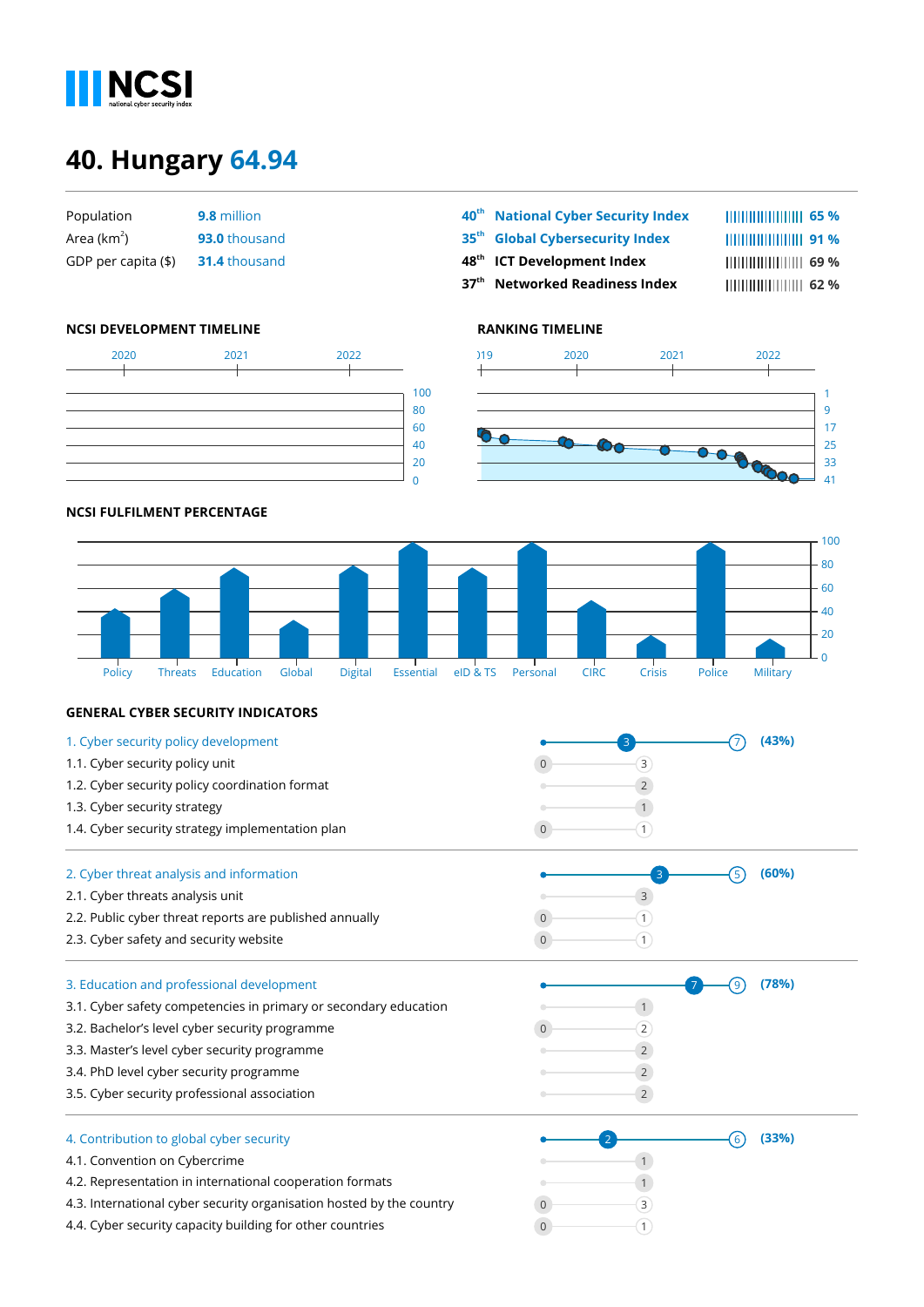

# **40. Hungary 64.94**

| Population          | 9.8 million   |
|---------------------|---------------|
| Area $(km^2)$       | 93.0 thousand |
| GDP per capita (\$) | 31.4 thousand |

## **40th National Cyber Security Index**

- **35th Global Cybersecurity Index**
- **48th ICT Development Index**
- **37th Networked Readiness Index**
- **65 % 91 %**
- **69 % 62 %**
- 

## **NCSI DEVELOPMENT TIMELINE**



### **RANKING TIMELINE**



1

 $\boxed{0}$  3

 $\begin{array}{|c|c|c|c|}\hline \multicolumn{1}{|c|}{0} & \multicolumn{1}{|c|}{0} \\ \hline \multicolumn{1}{|c|}{0} & \multicolumn{1}{|c|}{0} & \multicolumn{1}{|c|}{0} \\ \hline \multicolumn{1}{|c|}{0} & \multicolumn{1}{|c|}{0} & \multicolumn{1}{|c|}{0} & \multicolumn{1}{|c|}{0} \\ \hline \multicolumn{1}{|c|}{0} & \multicolumn{1}{|c|}{0} & \multicolumn{1}{|c|}{0} & \multicolumn{1}{|c|}{0} & \multicolumn{1}{|c|}{0$ 

#### **NCSI FULFILMENT PERCENTAGE**



#### **GENERAL CYBER SECURITY INDICATORS**

| 1. Cyber security policy development                             |                | (43%)      |
|------------------------------------------------------------------|----------------|------------|
| 1.1. Cyber security policy unit                                  | $\mathbf{3}$   |            |
| 1.2. Cyber security policy coordination format                   | 2              |            |
| 1.3. Cyber security strategy                                     |                |            |
| 1.4. Cyber security strategy implementation plan                 |                |            |
| 2. Cyber threat analysis and information                         |                | (60%)<br>5 |
| 2.1. Cyber threats analysis unit                                 | 3              |            |
| 2.2. Public cyber threat reports are published annually          |                |            |
| 2.3. Cyber safety and security website                           | $\mathbf{1}$   |            |
| 3. Education and professional development                        |                | (78%)      |
| 3.1. Cyber safety competencies in primary or secondary education |                |            |
| 3.2. Bachelor's level cyber security programme                   |                |            |
| 3.3. Master's level cyber security programme                     | $\overline{2}$ |            |
| 3.4. PhD level cyber security programme                          | $\overline{2}$ |            |
| 3.5. Cyber security professional association                     | $\overline{2}$ |            |
| 4. Contribution to global cyber security                         |                | (33%)      |
| 4.1. Convention on Cybercrime                                    |                |            |

- 4.1. Convention on Cybercrime
- 4.2. Representation in international cooperation formats
- 4.3. International cyber security organisation hosted by the country
- 4.4. Cyber security capacity building for other countries